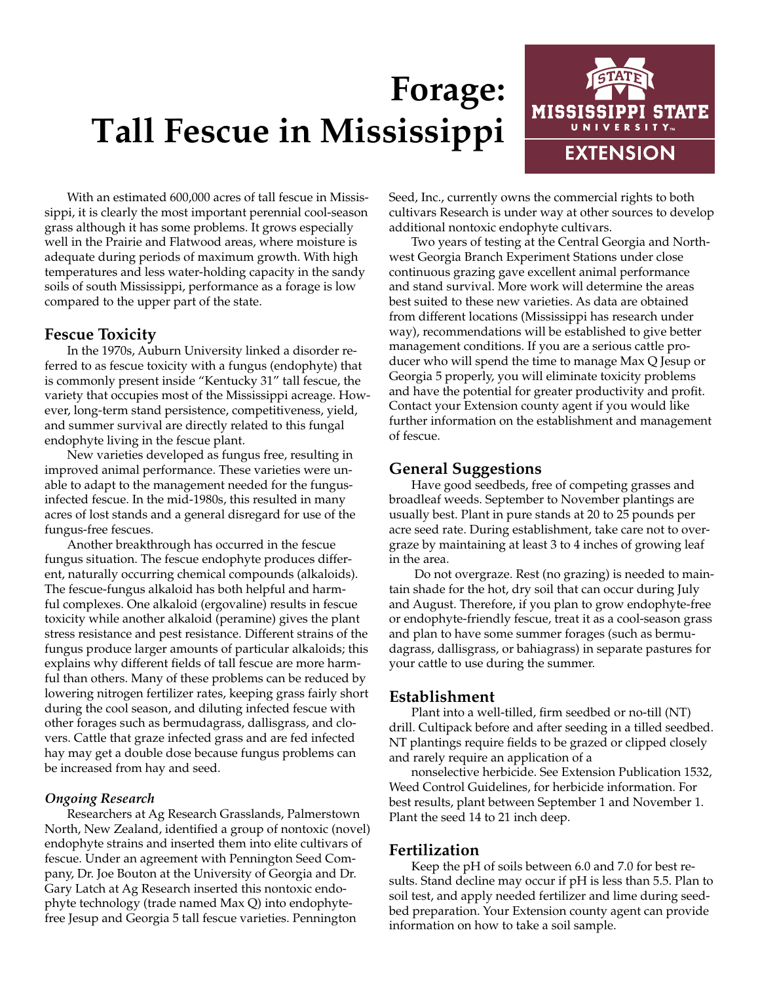# **Forage: Tall Fescue in Mississippi**



With an estimated 600,000 acres of tall fescue in Mississippi, it is clearly the most important perennial cool-season grass although it has some problems. It grows especially well in the Prairie and Flatwood areas, where moisture is adequate during periods of maximum growth. With high temperatures and less water-holding capacity in the sandy soils of south Mississippi, performance as a forage is low compared to the upper part of the state.

## **Fescue Toxicity**

In the 1970s, Auburn University linked a disorder referred to as fescue toxicity with a fungus (endophyte) that is commonly present inside "Kentucky 31" tall fescue, the variety that occupies most of the Mississippi acreage. However, long-term stand persistence, competitiveness, yield, and summer survival are directly related to this fungal endophyte living in the fescue plant.

New varieties developed as fungus free, resulting in improved animal performance. These varieties were unable to adapt to the management needed for the fungusinfected fescue. In the mid-1980s, this resulted in many acres of lost stands and a general disregard for use of the fungus-free fescues.

Another breakthrough has occurred in the fescue fungus situation. The fescue endophyte produces different, naturally occurring chemical compounds (alkaloids). The fescue-fungus alkaloid has both helpful and harmful complexes. One alkaloid (ergovaline) results in fescue toxicity while another alkaloid (peramine) gives the plant stress resistance and pest resistance. Different strains of the fungus produce larger amounts of particular alkaloids; this explains why different fields of tall fescue are more harmful than others. Many of these problems can be reduced by lowering nitrogen fertilizer rates, keeping grass fairly short during the cool season, and diluting infected fescue with other forages such as bermudagrass, dallisgrass, and clovers. Cattle that graze infected grass and are fed infected hay may get a double dose because fungus problems can be increased from hay and seed.

#### *Ongoing Research*

Researchers at Ag Research Grasslands, Palmerstown North, New Zealand, identified a group of nontoxic (novel) endophyte strains and inserted them into elite cultivars of fescue. Under an agreement with Pennington Seed Company, Dr. Joe Bouton at the University of Georgia and Dr. Gary Latch at Ag Research inserted this nontoxic endophyte technology (trade named Max Q) into endophytefree Jesup and Georgia 5 tall fescue varieties. Pennington

Seed, Inc., currently owns the commercial rights to both cultivars Research is under way at other sources to develop additional nontoxic endophyte cultivars.

Two years of testing at the Central Georgia and Northwest Georgia Branch Experiment Stations under close continuous grazing gave excellent animal performance and stand survival. More work will determine the areas best suited to these new varieties. As data are obtained from different locations (Mississippi has research under way), recommendations will be established to give better management conditions. If you are a serious cattle producer who will spend the time to manage Max Q Jesup or Georgia 5 properly, you will eliminate toxicity problems and have the potential for greater productivity and profit. Contact your Extension county agent if you would like further information on the establishment and management of fescue.

# **General Suggestions**

Have good seedbeds, free of competing grasses and broadleaf weeds. September to November plantings are usually best. Plant in pure stands at 20 to 25 pounds per acre seed rate. During establishment, take care not to overgraze by maintaining at least 3 to 4 inches of growing leaf in the area.

 Do not overgraze. Rest (no grazing) is needed to maintain shade for the hot, dry soil that can occur during July and August. Therefore, if you plan to grow endophyte-free or endophyte-friendly fescue, treat it as a cool-season grass and plan to have some summer forages (such as bermudagrass, dallisgrass, or bahiagrass) in separate pastures for your cattle to use during the summer.

### **Establishment**

Plant into a well-tilled, firm seedbed or no-till (NT) drill. Cultipack before and after seeding in a tilled seedbed. NT plantings require fields to be grazed or clipped closely and rarely require an application of a

nonselective herbicide. See Extension Publication 1532, Weed Control Guidelines, for herbicide information. For best results, plant between September 1 and November 1. Plant the seed 14 to 21 inch deep.

# **Fertilization**

Keep the pH of soils between 6.0 and 7.0 for best results. Stand decline may occur if pH is less than 5.5. Plan to soil test, and apply needed fertilizer and lime during seedbed preparation. Your Extension county agent can provide information on how to take a soil sample.